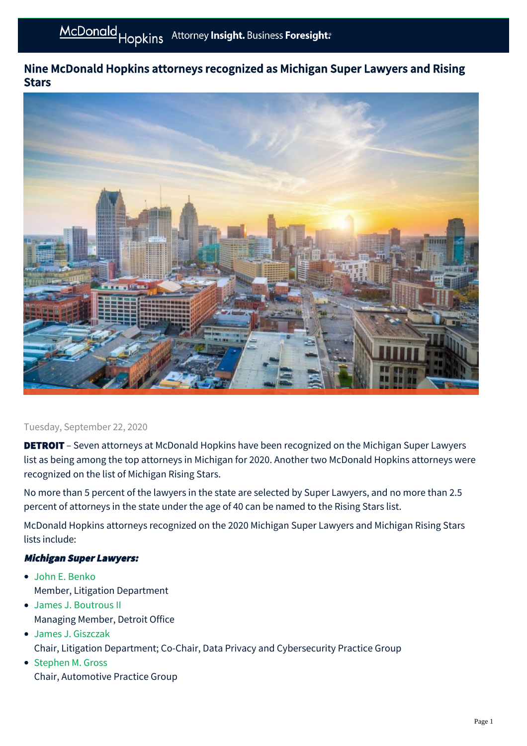# Nine McDonald Hopkins attorneys recognized as Michigan Super Lawyers and Rising **Stars**



#### Tuesday, September 22, 2020

**DETROIT** – Seven attorneys at McDonald Hopkins have been recognized on the Michigan Super Lawyers list as being among the top attorneys in Michigan for 2020. Another two McDonald Hopkins attorneys were recognized on the list of Michigan Rising Stars.

No more than 5 percent of the lawyers in the state are selected by Super Lawyers, and no more than 2.5 percent of attorneys in the state under the age of 40 can be named to the Rising Stars list.

McDonald Hopkins attorneys recognized on the 2020 Michigan Super Lawyers and Michigan Rising Stars lists include:

#### Michigan Super Lawyers:

- [John E. Benko](https://mcdonaldhopkins.com/Team/Attorney/j/John-Benko) Member, Litigation Department
- [James J. Boutrous II](https://mcdonaldhopkins.com/Team/Attorney/j/James-Boutrous-II)  Managing Member, Detroit Office
- [James J. Giszczak](https://mcdonaldhopkins.com/Team/Attorney/j/James-Giszczak) Chair, Litigation Department; Co-Chair, Data Privacy and Cybersecurity Practice Group
- [Stephen M. Gross](https://mcdonaldhopkins.com/Team/Attorney/s/Stephen-Gross) Chair, Automotive Practice Group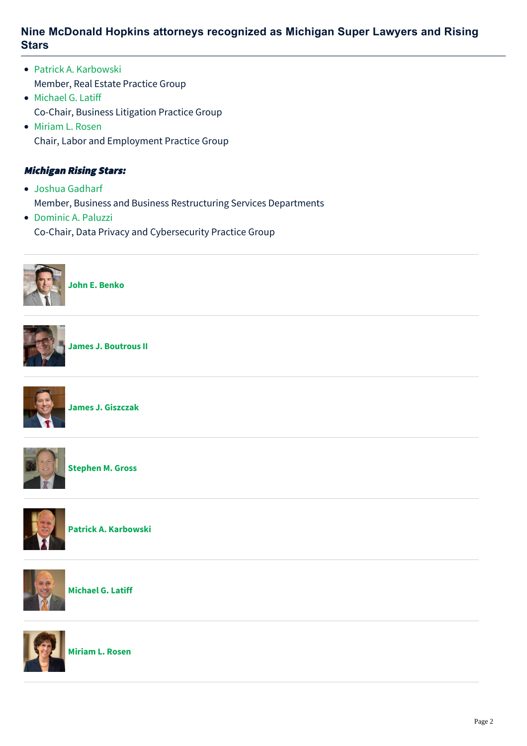### **Nine McDonald Hopkins attorneys recognized as Michigan Super Lawyers and Rising Stars**

- [Patrick A. Karbowski](https://mcdonaldhopkins.com/Team/Attorney/p/Patrick-Karbowski) Member, Real Estate Practice Group
- [Michael G. Latiff](https://mcdonaldhopkins.com/Team/Attorney/m/Michael-Latiff) Co-Chair, Business Litigation Practice Group
- [Miriam L. Rosen](https://mcdonaldhopkins.com/Team/Attorney/m/Miriam-Rosen) Chair, Labor and Employment Practice Group

### Michigan Rising Stars:

- [Joshua Gadharf](https://mcdonaldhopkins.com/Team/Attorney/j/Joshua-Gadharf) Member, Business and Business Restructuring Services Departments
- [Dominic A. Paluzzi](https://mcdonaldhopkins.com/Team/Attorney/d/Dominic-Paluzzi) Co-Chair, Data Privacy and Cybersecurity Practice Group



**[John E. Benko](https://mcdonaldhopkins.com/Team/Attorney/j/John-Benko)**



**[James J. Boutrous II](https://mcdonaldhopkins.com/Team/Attorney/j/James-Boutrous-II)**



**[James J. Giszczak](https://mcdonaldhopkins.com/Team/Attorney/j/James-Giszczak)**



**[Stephen M. Gross](https://mcdonaldhopkins.com/Team/Attorney/s/Stephen-Gross)**



**[Patrick A. Karbowski](https://mcdonaldhopkins.com/Team/Attorney/p/Patrick-Karbowski)**



**[Michael G. Latiff](https://mcdonaldhopkins.com/Team/Attorney/m/Michael-Latiff)**



**[Miriam L. Rosen](https://mcdonaldhopkins.com/Team/Attorney/m/Miriam-Rosen)**